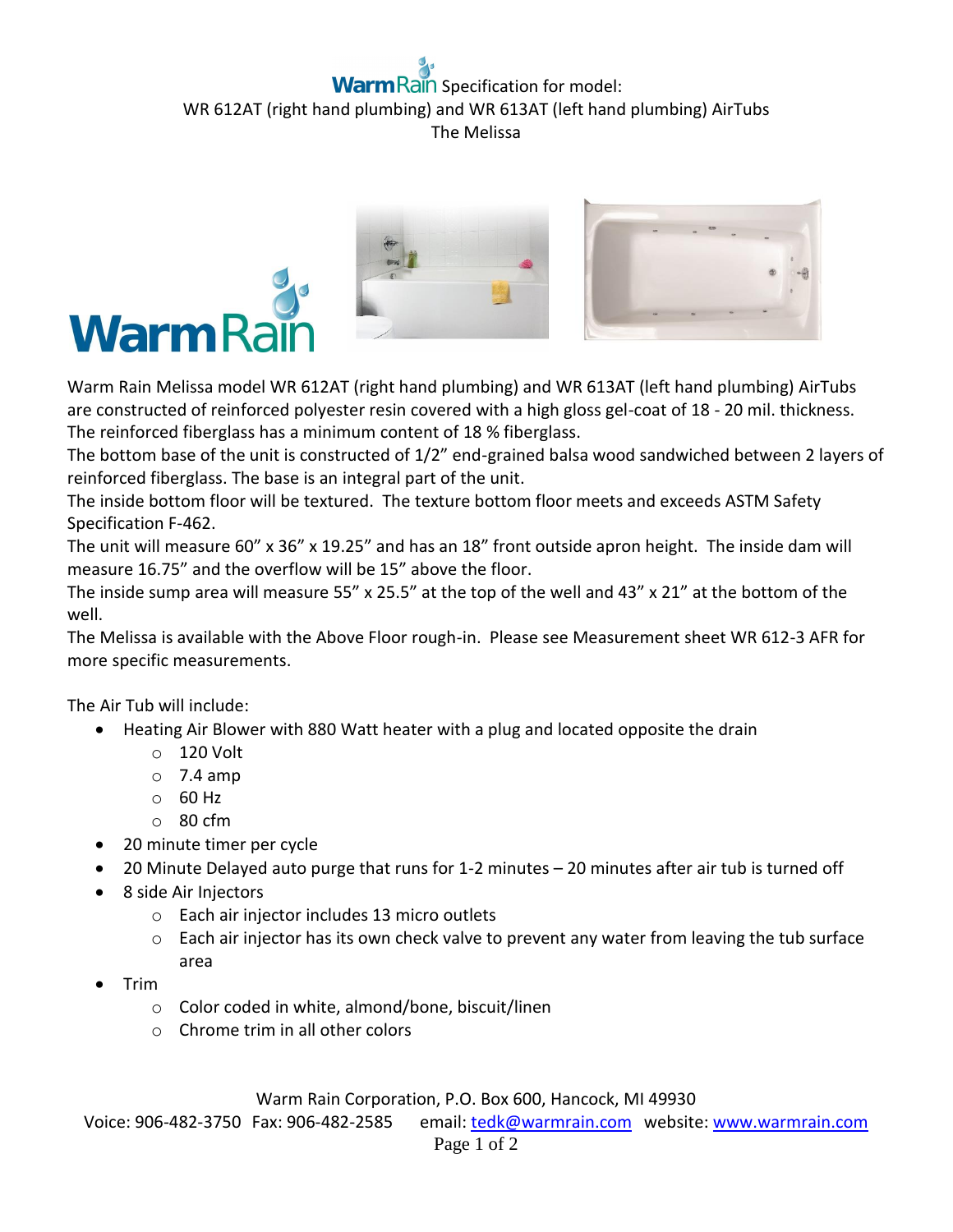## **Rain** Specification for model: WR 612AT (right hand plumbing) and WR 613AT (left hand plumbing) AirTubs The Melissa



Warm Rain Melissa model WR 612AT (right hand plumbing) and WR 613AT (left hand plumbing) AirTubs are constructed of reinforced polyester resin covered with a high gloss gel-coat of 18 - 20 mil. thickness. The reinforced fiberglass has a minimum content of 18 % fiberglass.

The bottom base of the unit is constructed of 1/2" end-grained balsa wood sandwiched between 2 layers of reinforced fiberglass. The base is an integral part of the unit.

The inside bottom floor will be textured. The texture bottom floor meets and exceeds ASTM Safety Specification F-462.

The unit will measure 60" x 36" x 19.25" and has an 18" front outside apron height. The inside dam will measure 16.75" and the overflow will be 15" above the floor.

The inside sump area will measure 55" x 25.5" at the top of the well and 43" x 21" at the bottom of the well.

The Melissa is available with the Above Floor rough-in. Please see Measurement sheet WR 612-3 AFR for more specific measurements.

The Air Tub will include:

- Heating Air Blower with 880 Watt heater with a plug and located opposite the drain
	- o 120 Volt
	- $\circ$  7.4 amp
	- o 60 Hz
	- o 80 cfm
- 20 minute timer per cycle
- 20 Minute Delayed auto purge that runs for 1-2 minutes 20 minutes after air tub is turned off
- 8 side Air Injectors
	- o Each air injector includes 13 micro outlets
	- o Each air injector has its own check valve to prevent any water from leaving the tub surface area
- Trim
	- o Color coded in white, almond/bone, biscuit/linen
	- o Chrome trim in all other colors

Warm Rain Corporation, P.O. Box 600, Hancock, MI 49930

Voice: 906-482-3750 Fax: 906-482-2585 email[: tedk@warmrain.com](mailto:tedk@warmrain.com) website: [www.warmrain.com](http://www.warmrain.com/)